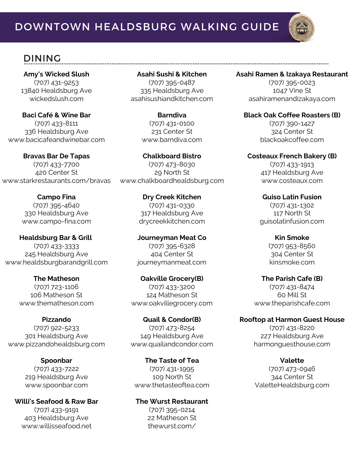

### DINING

**Amy's Wicked Slush** (707) 431-9253 13840 Healdsburg Ave wickedslush.com

**Baci Café & Wine Bar** (707) 433-8111 336 Healdsburg Ave www.bacicafeandwinebar.com

**Bravas Bar De Tapas** (707) 433-7700 420 Center St www.starkrestaurants.com/bravas

> **Campo Fina** (707) 395-4640 330 Healdsburg Ave www.campo-fina.com

**Healdsburg Bar & Grill** (707) 433-3333 245 Healdsburg Ave www.healdsburgbarandgrill.com

> **The Matheson** (707) 723-1106 106 Matheson St www.thematheson.com

**Pizzando** (707) 922-5233 301 Healdsburg Ave www.pizzandohealdsburg.com

> **Spoonbar** (707) 433-7222 219 Healdsburg Ave www.spoonbar.com

**Willi's Seafood & Raw Bar** (707) 433-9191 403 Healdsburg Ave www.willisseafood.net

**Asahi Sushi & Kitchen** (707) 395-0487 335 Healdsburg Ave asahisushiandkitchen.com

> **Barndiva** (707) 431-0100 231 Center St www.barndiva.com

**Chalkboard Bistro** (707) 473-8030 29 North St www.chalkboardhealdsburg.com

> **Dry Creek Kitchen** (707) 431-0330 317 Healdsburg Ave drycreekkitchen.com

**Journeyman Meat Co** (707) 395-6328 404 Center St journeymanmeat.com

**Oakville Grocery(B)** (707) 433-3200 124 Matheson St www.oakvillegrocery.com

**Quail & Condor(B)** (707) 473-8254 149 Healdsburg Ave www.quailandcondor.com

**The Taste of Tea** (707) 431-1995 109 North St www.thetasteoftea.com

**The Wurst Restaurant** (707) 395-0214 22 Matheson St thewurst.com/

### **Asahi Ramen & Izakaya Restaurant**

(707) 395-0023 1047 Vine St asahiramenandizakaya.com

**Black Oak Coffee Roasters (B)** (707) 390-1427 324 Center St blackoakcoffee.com

**Costeaux French Bakery (B)** (707) 433-1913 417 Healdsburg Ave www.costeaux.com

> **Guiso Latin Fusion** (707) 431-1302 117 North St guisolatinfusion.com

> > **Kin Smoke** (707) 953-8560 304 Center St kinsmoke.com

**The Parish Cafe (B)** (707) 431-8474 60 Mill St www.theparishcafe.com

**Rooftop at Harmon Guest House** (707) 431-8220 227 Healdsburg Ave harmonguesthouse.com

> **Valette** (707) 473-0946 344 Center St ValetteHealdsburg.com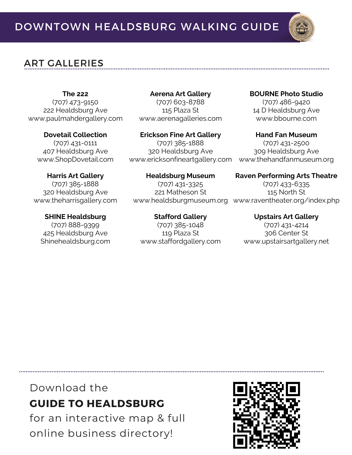# ART GALLERIES

**The 222**

(707) 473-9150 222 Healdsburg Ave www.paulmahdergallery.com

**Dovetail Collection**

(707) 431-0111 407 Healdsburg Ave www.ShopDovetail.com

**Harris Art Gallery** (707) 385-1888 320 Healdsburg Ave www.theharrisgallery.com

**SHINE Healdsburg** (707) 888-9399 425 Healdsburg Ave Shinehealdsburg.com

**Aerena Art Gallery** (707) 603-8788 115 Plaza St www.aerenagalleries.com

**Erickson Fine Art Gallery** (707) 385-1888 320 Healdsburg Ave www.ericksonfineartgallery.com

**Healdsburg Museum** (707) 431-3325 221 Matheson St

**Stafford Gallery** (707) 385-1048 119 Plaza St www.staffordgallery.com **BOURNE Photo Studio** (707) 486-9420

14 D Healdsburg Ave www.bbourne.com

**Hand Fan Museum** (707) 431-2500 309 Healdsburg Ave www.thehandfanmuseum.org

**Raven Performing Arts Theatre**

www.healdsburgmuseum.org www.raventheater.org/index.php (707) 433-6335 115 North St

> **Upstairs Art Gallery** (707) 431-4214 306 Center St www.upstairsartgallery.net

# Download the **GUIDE TO HEALDSBURG**

for an interactive map & full online business directory!

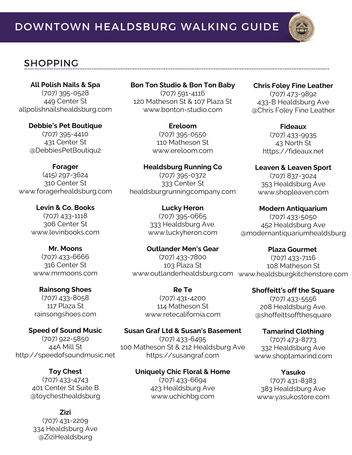

# SHOPPING

**All Polish Nails & Spa** (707) 395-0528 449 Center St allpolishnailshealdsburg.com

**Debbie's Pet Boutique** (707) 395-4410 431 Center St @DebbiesPetBoutiqu2

**Forager** (415) 297-3624 310 Center St www.foragerhealdsburg.com

> **Levin & Co. Books** (707) 433-1118 306 Center St www.levinbooks.com

**Mr. Moons** (707) 433-6666 316 Center St www.mrmoons.com

**Rainsong Shoes** (707) 433-8058 117 Plaza St rainsongshoes.com

**Speed of Sound Music** (707) 922-5850 44A Mill St http://speedofsoundmusic.net

> **Toy Chest** (707) 433-4743 401 Center St Suite B @toychesthealdsburg

**Zizi** (707) 431-2209 334 Healdsburg Ave @ZiziHealdsburg

**Bon Ton Studio & Bon Ton Baby** (707) 591-4116 120 Matheson St & 107 Plaza St www.bonton-studio.com

> **Ereloom** (707) 395-0550 110 Matheson St www.ereloom.com

**Healdsburg Running Co** (707) 395-0372 333 Center St healdsburgrunningcompany.com

> **Lucky Heron** (707) 395-0665 333 Healdsburg Ave. www.luckyheron.com

**Outlander Men's Gear** (707) 433-7800 103 Plaza St www.outlanderhealdsburg.com www.healdsburgkitchenstore.com **Plaza Gourmet** (707) 433-7116 108 Matheson St

**Re Te** (707) 431-4200 114 Matheson St www.retecalifornia.com

**Susan Graf Ltd & Susan's Basement** (707) 433-6495 100 Matheson St & 212 Healdsburg Ave https://susangraf.com

> **Uniquely Chic Floral & Home** (707) 433-6694 423 Healdsburg Ave www.uchichbg.com

**Chris Foley Fine Leather** (707) 473-9892 433-B Healdsburg Ave @Chris Foley Fine Leather

> **Fideaux** (707) 433-9935 43 North St https://fideaux.net

**Leaven & Leaven Sport** (707) 837-3024 353 Healdsburg Ave www.shopleaven.com

**Modern Antiquarium** (707) 433-5050 452 Healdsburg Ave @modernantiquariumhealdsburg

**Shoffeitt's off the Square**

(707) 433-5556 208 Healdsburg Ave. @shoffeittsoffthesquare

**Tamarind Clothing** (707) 473-8773 332 Healdsburg Ave www.shoptamarind.com

**Yasuko** (707) 431-8383 383 Healdsburg Ave www.yasukostore.com